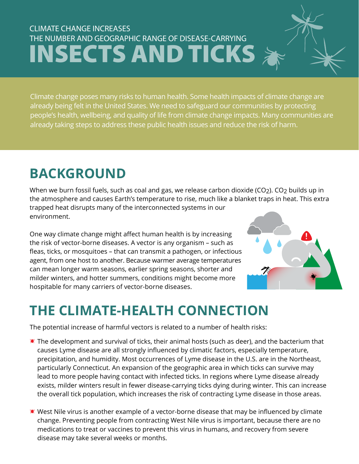#### CLIMATE CHANGE INCREASES THE NUMBER AND GEOGRAPHIC RANGE OF DISEASE-CARRYING **INSECTS AND TICKS**

Climate change poses many risks to human health. Some health impacts of climate change are already being felt in the United States. We need to safeguard our communities by protecting people's health, wellbeing, and quality of life from climate change impacts. Many communities are already taking steps to address these public health issues and reduce the risk of harm.

### **BACKGROUND**

When we burn fossil fuels, such as coal and gas, we release carbon dioxide (CO2). CO2 builds up in the atmosphere and causes Earth's temperature to rise, much like a blanket traps in heat. This extra trapped heat disrupts many of the interconnected systems in our environment.

One way climate change might affect human health is by increasing the risk of vector-borne diseases. A vector is any organism – such as fleas, ticks, or mosquitoes – that can transmit a pathogen, or infectious agent, from one host to another. Because warmer average temperatures can mean longer warm seasons, earlier spring seasons, shorter and milder winters, and hotter summers, conditions might become more hospitable for many carriers of vector-borne diseases.



## **THE CLIMATE-HEALTH CONNECTION**

The potential increase of harmful vectors is related to a number of health risks:

- $*$  The development and survival of ticks, their animal hosts (such as deer), and the bacterium that causes Lyme disease are all strongly influenced by climatic factors, especially temperature, precipitation, and humidity. Most occurrences of Lyme disease in the U.S. are in the Northeast, particularly Connecticut. An expansion of the geographic area in which ticks can survive may lead to more people having contact with infected ticks. In regions where Lyme disease already exists, milder winters result in fewer disease-carrying ticks dying during winter. This can increase the overall tick population, which increases the risk of contracting Lyme disease in those areas.
- $*$  West Nile virus is another example of a vector-borne disease that may be influenced by climate change. Preventing people from contracting West Nile virus is important, because there are no medications to treat or vaccines to prevent this virus in humans, and recovery from severe disease may take several weeks or months.